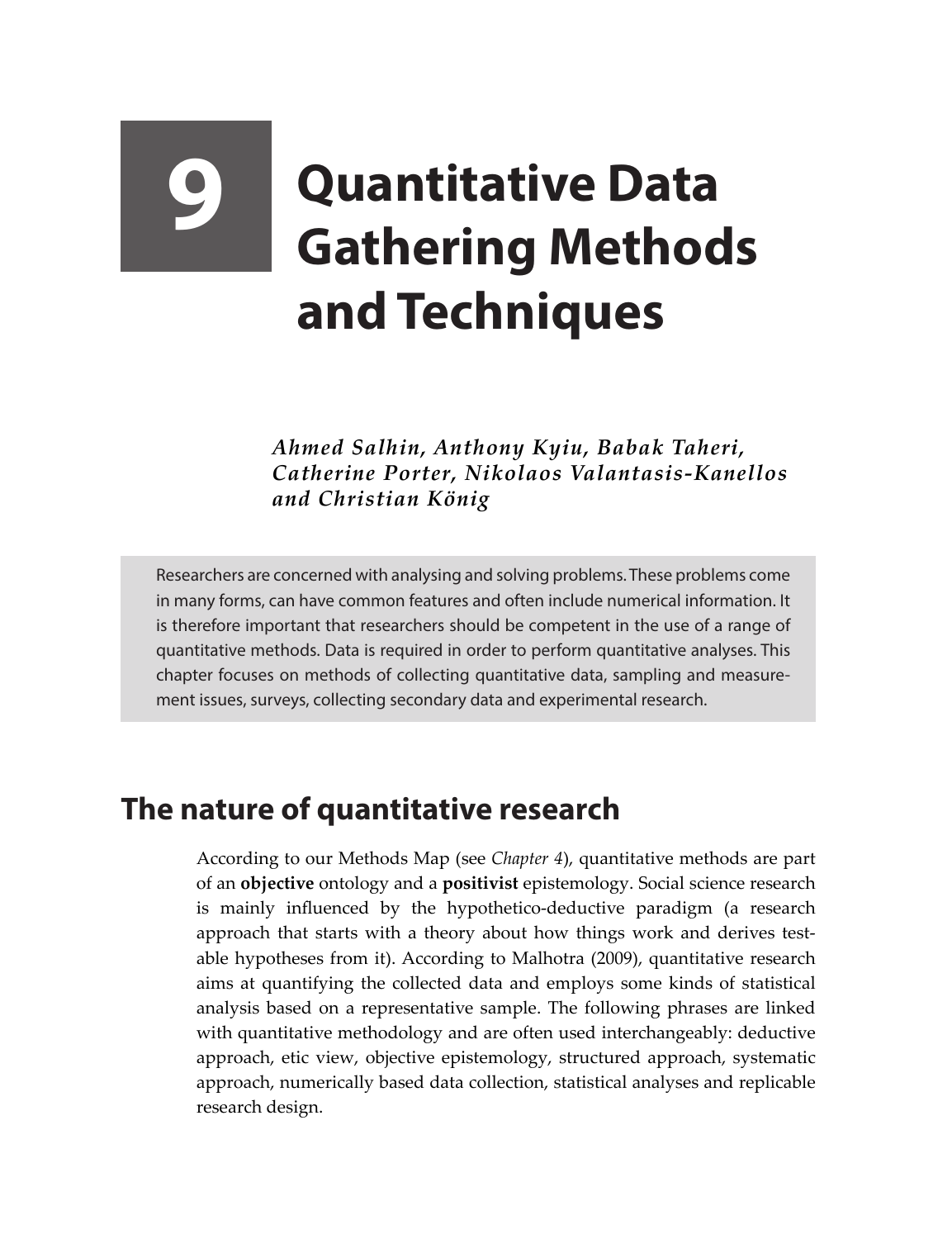# **9 Quantitative Data Gathering Methods and Techniques**

*Ahmed Salhin, Anthony Kyiu, Babak Taheri, Catherine Porter, Nikolaos Valantasis-Kanellos and Christian König*

Researchers are concerned with analysing and solving problems. These problems come in many forms, can have common features and often include numerical information. It is therefore important that researchers should be competent in the use of a range of quantitative methods. Data is required in order to perform quantitative analyses. This chapter focuses on methods of collecting quantitative data, sampling and measurement issues, surveys, collecting secondary data and experimental research.

## **The nature of quantitative research**

According to our Methods Map (see *Chapter 4*), quantitative methods are part of an **objective** ontology and a **positivist** epistemology. Social science research is mainly influenced by the hypothetico-deductive paradigm (a research approach that starts with a theory about how things work and derives testable hypotheses from it). According to Malhotra (2009), quantitative research aims at quantifying the collected data and employs some kinds of statistical analysis based on a representative sample. The following phrases are linked with quantitative methodology and are often used interchangeably: deductive approach, etic view, objective epistemology, structured approach, systematic approach, numerically based data collection, statistical analyses and replicable research design.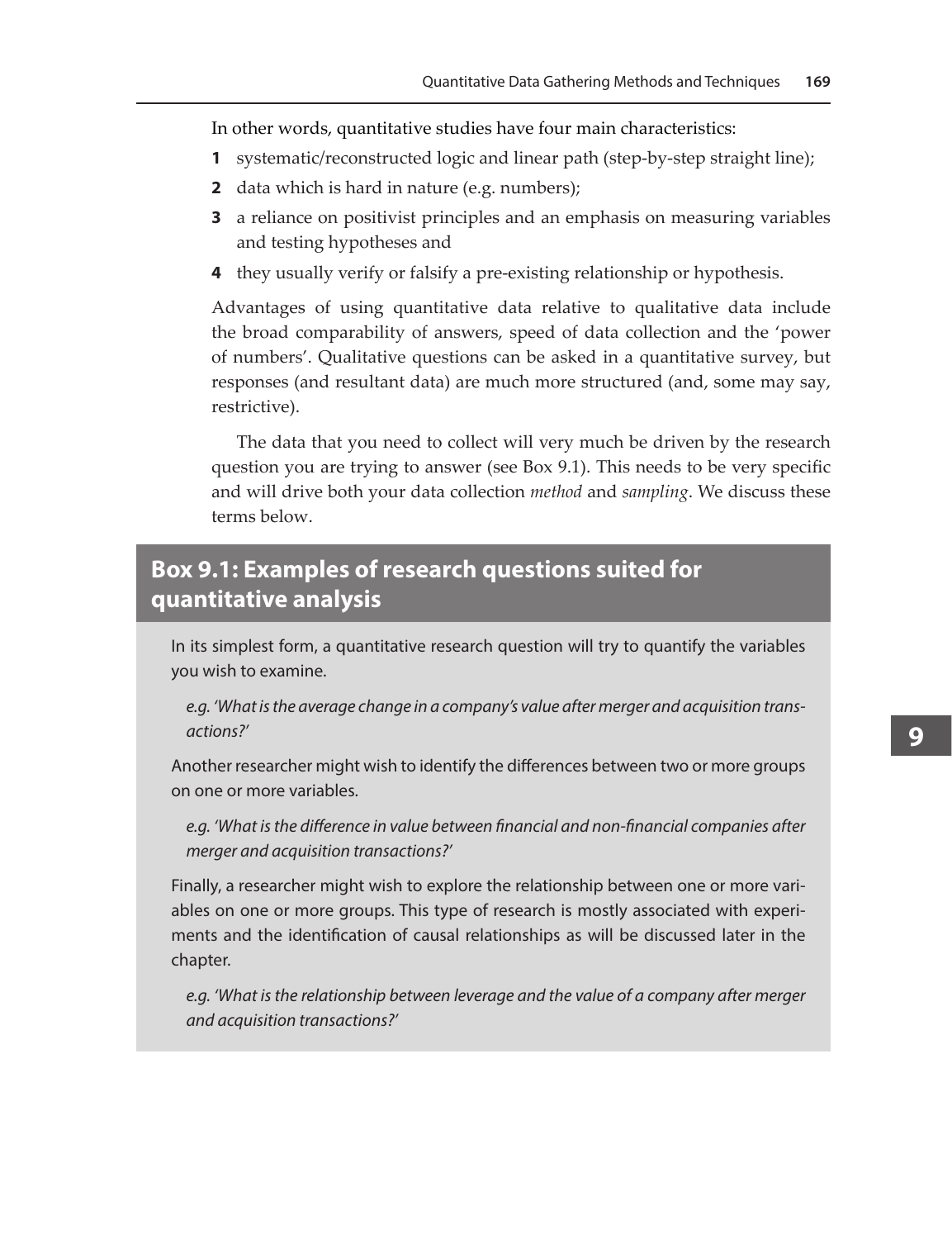In other words, quantitative studies have four main characteristics:

- **1** systematic/reconstructed logic and linear path (step-by-step straight line);
- **2** data which is hard in nature (e.g. numbers);
- **3** a reliance on positivist principles and an emphasis on measuring variables and testing hypotheses and
- **4** they usually verify or falsify a pre-existing relationship or hypothesis.

Advantages of using quantitative data relative to qualitative data include the broad comparability of answers, speed of data collection and the 'power of numbers'. Qualitative questions can be asked in a quantitative survey, but responses (and resultant data) are much more structured (and, some may say, restrictive).

The data that you need to collect will very much be driven by the research question you are trying to answer (see Box 9.1). This needs to be very specific and will drive both your data collection *method* and *sampling*. We discuss these terms below.

#### **Box 9.1: Examples of research questions suited for quantitative analysis**

In its simplest form, a quantitative research question will try to quantify the variables you wish to examine.

*e.g. 'What is the average change in a company's value after merger and acquisition transactions?'*

Another researcher might wish to identify the differences between two or more groups on one or more variables.

*e.g. 'What is the difference in value between financial and non-financial companies after merger and acquisition transactions?'*

Finally, a researcher might wish to explore the relationship between one or more variables on one or more groups. This type of research is mostly associated with experiments and the identification of causal relationships as will be discussed later in the chapter.

*e.g. 'What is the relationship between leverage and the value of a company after merger and acquisition transactions?'*